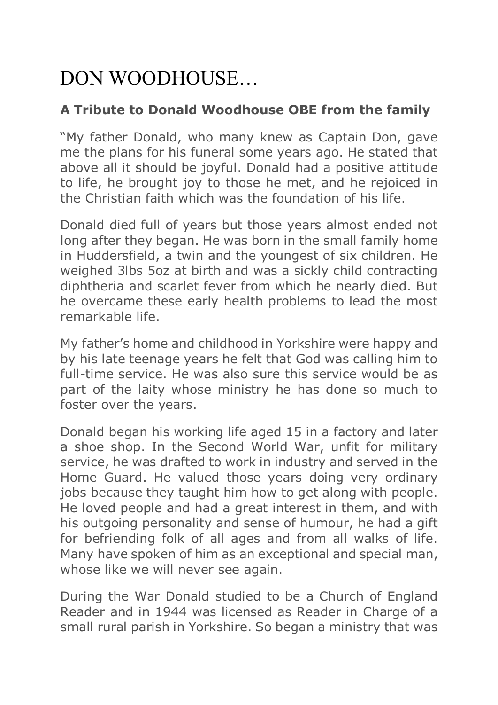# DON WOODHOUSE…

# **A Tribute to Donald Woodhouse OBE from the family**

"My father Donald, who many knew as Captain Don, gave me the plans for his funeral some years ago. He stated that above all it should be joyful. Donald had a positive attitude to life, he brought joy to those he met, and he rejoiced in the Christian faith which was the foundation of his life.

Donald died full of years but those years almost ended not long after they began. He was born in the small family home in Huddersfield, a twin and the youngest of six children. He weighed 3lbs 5oz at birth and was a sickly child contracting diphtheria and scarlet fever from which he nearly died. But he overcame these early health problems to lead the most remarkable life.

My father's home and childhood in Yorkshire were happy and by his late teenage years he felt that God was calling him to full-time service. He was also sure this service would be as part of the laity whose ministry he has done so much to foster over the years.

Donald began his working life aged 15 in a factory and later a shoe shop. In the Second World War, unfit for military service, he was drafted to work in industry and served in the Home Guard. He valued those years doing very ordinary jobs because they taught him how to get along with people. He loved people and had a great interest in them, and with his outgoing personality and sense of humour, he had a gift for befriending folk of all ages and from all walks of life. Many have spoken of him as an exceptional and special man, whose like we will never see again.

During the War Donald studied to be a Church of England Reader and in 1944 was licensed as Reader in Charge of a small rural parish in Yorkshire. So began a ministry that was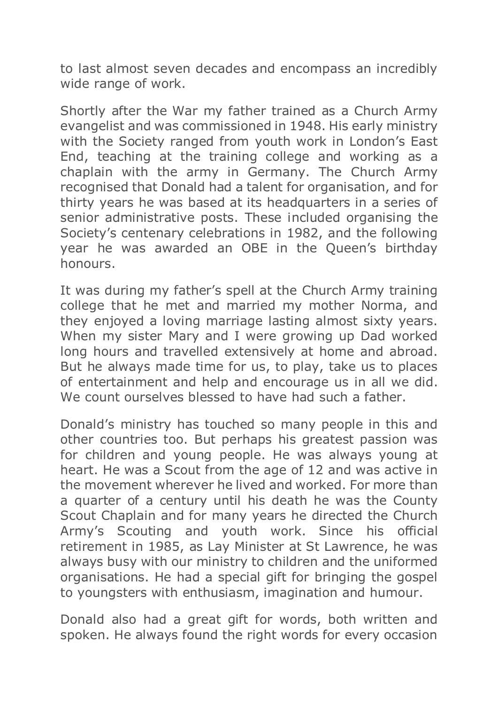to last almost seven decades and encompass an incredibly wide range of work.

Shortly after the War my father trained as a Church Army evangelist and was commissioned in 1948. His early ministry with the Society ranged from youth work in London's East End, teaching at the training college and working as a chaplain with the army in Germany. The Church Army recognised that Donald had a talent for organisation, and for thirty years he was based at its headquarters in a series of senior administrative posts. These included organising the Society's centenary celebrations in 1982, and the following year he was awarded an OBE in the Queen's birthday honours.

It was during my father's spell at the Church Army training college that he met and married my mother Norma, and they enjoyed a loving marriage lasting almost sixty years. When my sister Mary and I were growing up Dad worked long hours and travelled extensively at home and abroad. But he always made time for us, to play, take us to places of entertainment and help and encourage us in all we did. We count ourselves blessed to have had such a father.

Donald's ministry has touched so many people in this and other countries too. But perhaps his greatest passion was for children and young people. He was always young at heart. He was a Scout from the age of 12 and was active in the movement wherever he lived and worked. For more than a quarter of a century until his death he was the County Scout Chaplain and for many years he directed the Church Army's Scouting and youth work. Since his official retirement in 1985, as Lay Minister at St Lawrence, he was always busy with our ministry to children and the uniformed organisations. He had a special gift for bringing the gospel to youngsters with enthusiasm, imagination and humour.

Donald also had a great gift for words, both written and spoken. He always found the right words for every occasion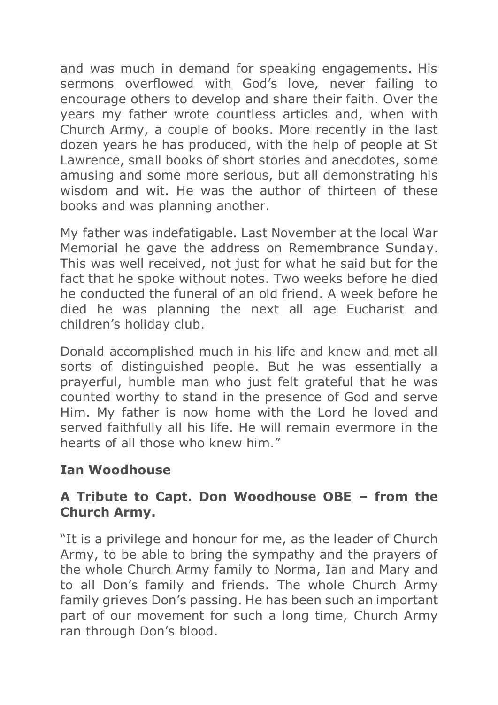and was much in demand for speaking engagements. His sermons overflowed with God's love, never failing to encourage others to develop and share their faith. Over the years my father wrote countless articles and, when with Church Army, a couple of books. More recently in the last dozen years he has produced, with the help of people at St Lawrence, small books of short stories and anecdotes, some amusing and some more serious, but all demonstrating his wisdom and wit. He was the author of thirteen of these books and was planning another.

My father was indefatigable. Last November at the local War Memorial he gave the address on Remembrance Sunday. This was well received, not just for what he said but for the fact that he spoke without notes. Two weeks before he died he conducted the funeral of an old friend. A week before he died he was planning the next all age Eucharist and children's holiday club.

Donald accomplished much in his life and knew and met all sorts of distinguished people. But he was essentially a prayerful, humble man who just felt grateful that he was counted worthy to stand in the presence of God and serve Him. My father is now home with the Lord he loved and served faithfully all his life. He will remain evermore in the hearts of all those who knew him."

## **Ian Woodhouse**

#### **A Tribute to Capt. Don Woodhouse OBE – from the Church Army.**

"It is a privilege and honour for me, as the leader of Church Army, to be able to bring the sympathy and the prayers of the whole Church Army family to Norma, Ian and Mary and to all Don's family and friends. The whole Church Army family grieves Don's passing. He has been such an important part of our movement for such a long time, Church Army ran through Don's blood.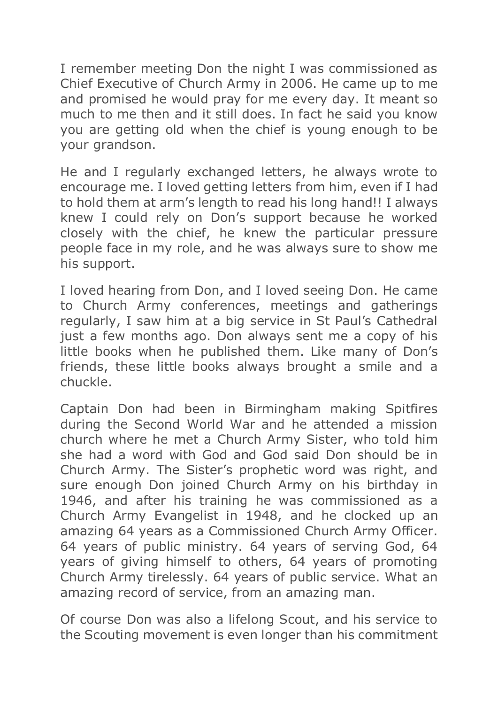I remember meeting Don the night I was commissioned as Chief Executive of Church Army in 2006. He came up to me and promised he would pray for me every day. It meant so much to me then and it still does. In fact he said you know you are getting old when the chief is young enough to be your grandson.

He and I regularly exchanged letters, he always wrote to encourage me. I loved getting letters from him, even if I had to hold them at arm's length to read his long hand!! I always knew I could rely on Don's support because he worked closely with the chief, he knew the particular pressure people face in my role, and he was always sure to show me his support.

I loved hearing from Don, and I loved seeing Don. He came to Church Army conferences, meetings and gatherings regularly, I saw him at a big service in St Paul's Cathedral just a few months ago. Don always sent me a copy of his little books when he published them. Like many of Don's friends, these little books always brought a smile and a chuckle.

Captain Don had been in Birmingham making Spitfires during the Second World War and he attended a mission church where he met a Church Army Sister, who told him she had a word with God and God said Don should be in Church Army. The Sister's prophetic word was right, and sure enough Don joined Church Army on his birthday in 1946, and after his training he was commissioned as a Church Army Evangelist in 1948, and he clocked up an amazing 64 years as a Commissioned Church Army Officer. 64 years of public ministry. 64 years of serving God, 64 years of giving himself to others, 64 years of promoting Church Army tirelessly. 64 years of public service. What an amazing record of service, from an amazing man.

Of course Don was also a lifelong Scout, and his service to the Scouting movement is even longer than his commitment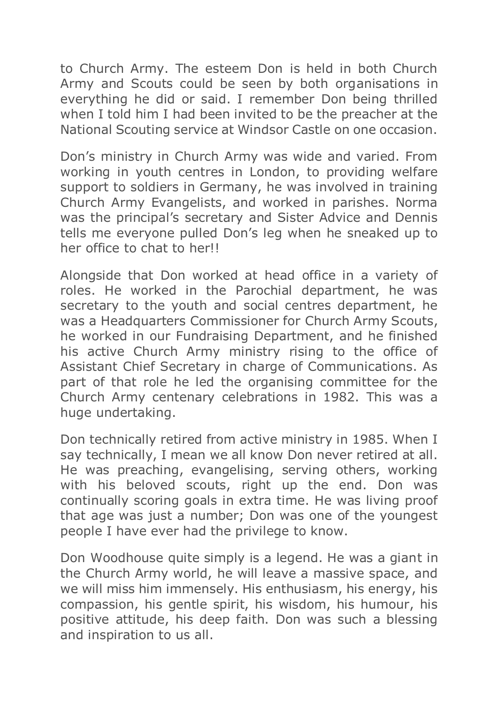to Church Army. The esteem Don is held in both Church Army and Scouts could be seen by both organisations in everything he did or said. I remember Don being thrilled when I told him I had been invited to be the preacher at the National Scouting service at Windsor Castle on one occasion.

Don's ministry in Church Army was wide and varied. From working in youth centres in London, to providing welfare support to soldiers in Germany, he was involved in training Church Army Evangelists, and worked in parishes. Norma was the principal's secretary and Sister Advice and Dennis tells me everyone pulled Don's leg when he sneaked up to her office to chat to her!!

Alongside that Don worked at head office in a variety of roles. He worked in the Parochial department, he was secretary to the youth and social centres department, he was a Headquarters Commissioner for Church Army Scouts, he worked in our Fundraising Department, and he finished his active Church Army ministry rising to the office of Assistant Chief Secretary in charge of Communications. As part of that role he led the organising committee for the Church Army centenary celebrations in 1982. This was a huge undertaking.

Don technically retired from active ministry in 1985. When I say technically, I mean we all know Don never retired at all. He was preaching, evangelising, serving others, working with his beloved scouts, right up the end. Don was continually scoring goals in extra time. He was living proof that age was just a number; Don was one of the youngest people I have ever had the privilege to know.

Don Woodhouse quite simply is a legend. He was a giant in the Church Army world, he will leave a massive space, and we will miss him immensely. His enthusiasm, his energy, his compassion, his gentle spirit, his wisdom, his humour, his positive attitude, his deep faith. Don was such a blessing and inspiration to us all.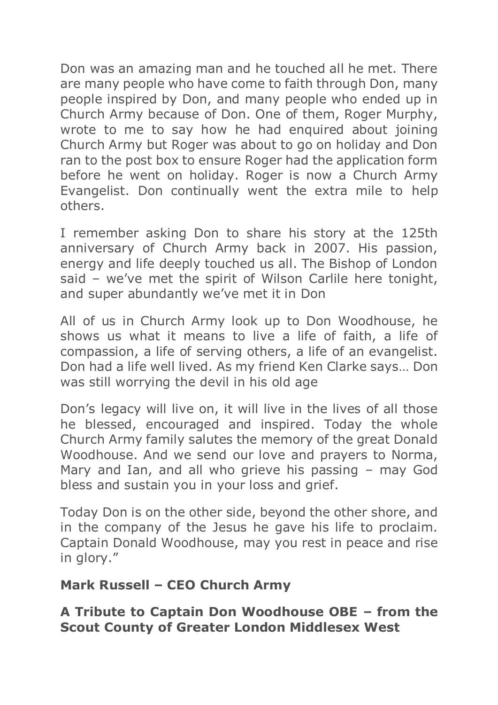Don was an amazing man and he touched all he met. There are many people who have come to faith through Don, many people inspired by Don, and many people who ended up in Church Army because of Don. One of them, Roger Murphy, wrote to me to say how he had enquired about joining Church Army but Roger was about to go on holiday and Don ran to the post box to ensure Roger had the application form before he went on holiday. Roger is now a Church Army Evangelist. Don continually went the extra mile to help others.

I remember asking Don to share his story at the 125th anniversary of Church Army back in 2007. His passion, energy and life deeply touched us all. The Bishop of London said – we've met the spirit of Wilson Carlile here tonight, and super abundantly we've met it in Don

All of us in Church Army look up to Don Woodhouse, he shows us what it means to live a life of faith, a life of compassion, a life of serving others, a life of an evangelist. Don had a life well lived. As my friend Ken Clarke says… Don was still worrying the devil in his old age

Don's legacy will live on, it will live in the lives of all those he blessed, encouraged and inspired. Today the whole Church Army family salutes the memory of the great Donald Woodhouse. And we send our love and prayers to Norma, Mary and Ian, and all who grieve his passing – may God bless and sustain you in your loss and grief.

Today Don is on the other side, beyond the other shore, and in the company of the Jesus he gave his life to proclaim. Captain Donald Woodhouse, may you rest in peace and rise in glory."

## **Mark Russell – CEO Church Army**

**A Tribute to Captain Don Woodhouse OBE – from the Scout County of Greater London Middlesex West**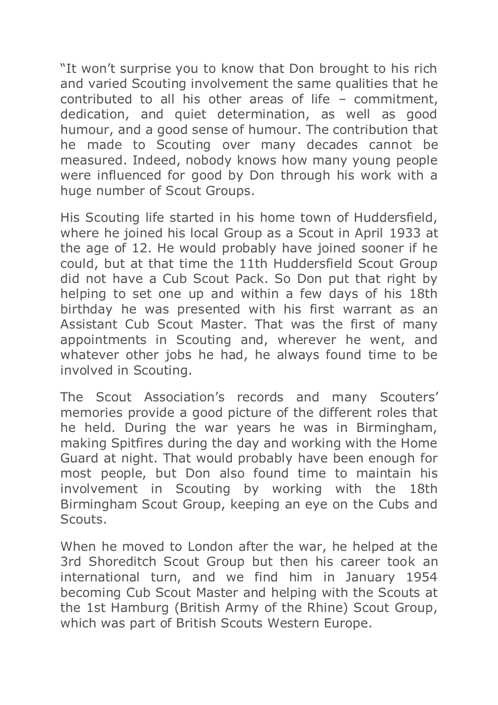"It won't surprise you to know that Don brought to his rich and varied Scouting involvement the same qualities that he contributed to all his other areas of life – commitment, dedication, and quiet determination, as well as good humour, and a good sense of humour. The contribution that he made to Scouting over many decades cannot be measured. Indeed, nobody knows how many young people were influenced for good by Don through his work with a huge number of Scout Groups.

His Scouting life started in his home town of Huddersfield, where he joined his local Group as a Scout in April 1933 at the age of 12. He would probably have joined sooner if he could, but at that time the 11th Huddersfield Scout Group did not have a Cub Scout Pack. So Don put that right by helping to set one up and within a few days of his 18th birthday he was presented with his first warrant as an Assistant Cub Scout Master. That was the first of many appointments in Scouting and, wherever he went, and whatever other jobs he had, he always found time to be involved in Scouting.

The Scout Association's records and many Scouters' memories provide a good picture of the different roles that he held. During the war years he was in Birmingham, making Spitfires during the day and working with the Home Guard at night. That would probably have been enough for most people, but Don also found time to maintain his involvement in Scouting by working with the 18th Birmingham Scout Group, keeping an eye on the Cubs and Scouts.

When he moved to London after the war, he helped at the 3rd Shoreditch Scout Group but then his career took an international turn, and we find him in January 1954 becoming Cub Scout Master and helping with the Scouts at the 1st Hamburg (British Army of the Rhine) Scout Group, which was part of British Scouts Western Europe.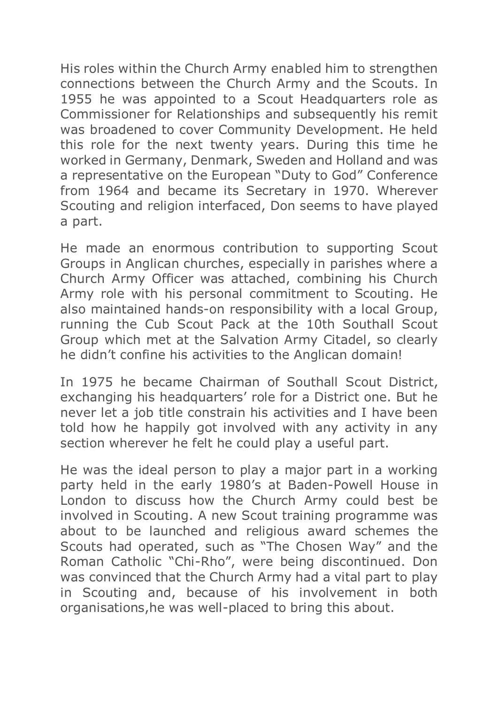His roles within the Church Army enabled him to strengthen connections between the Church Army and the Scouts. In 1955 he was appointed to a Scout Headquarters role as Commissioner for Relationships and subsequently his remit was broadened to cover Community Development. He held this role for the next twenty years. During this time he worked in Germany, Denmark, Sweden and Holland and was a representative on the European "Duty to God" Conference from 1964 and became its Secretary in 1970. Wherever Scouting and religion interfaced, Don seems to have played a part.

He made an enormous contribution to supporting Scout Groups in Anglican churches, especially in parishes where a Church Army Officer was attached, combining his Church Army role with his personal commitment to Scouting. He also maintained hands-on responsibility with a local Group, running the Cub Scout Pack at the 10th Southall Scout Group which met at the Salvation Army Citadel, so clearly he didn't confine his activities to the Anglican domain!

In 1975 he became Chairman of Southall Scout District, exchanging his headquarters' role for a District one. But he never let a job title constrain his activities and I have been told how he happily got involved with any activity in any section wherever he felt he could play a useful part.

He was the ideal person to play a major part in a working party held in the early 1980's at Baden-Powell House in London to discuss how the Church Army could best be involved in Scouting. A new Scout training programme was about to be launched and religious award schemes the Scouts had operated, such as "The Chosen Way" and the Roman Catholic "Chi-Rho", were being discontinued. Don was convinced that the Church Army had a vital part to play in Scouting and, because of his involvement in both organisations,he was well-placed to bring this about.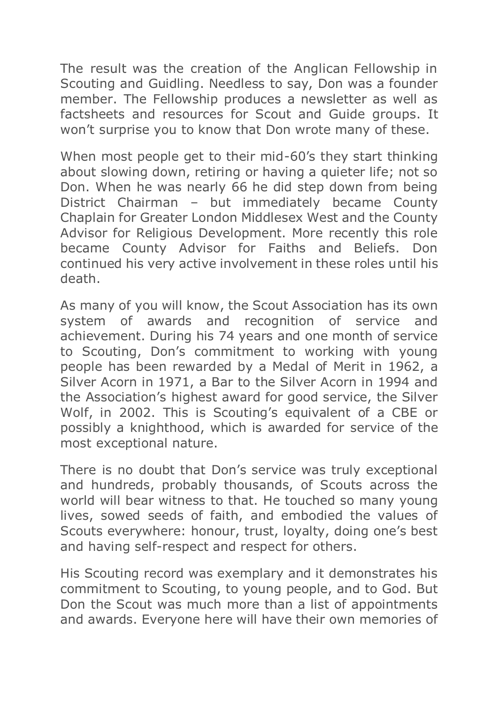The result was the creation of the Anglican Fellowship in Scouting and Guidling. Needless to say, Don was a founder member. The Fellowship produces a newsletter as well as factsheets and resources for Scout and Guide groups. It won't surprise you to know that Don wrote many of these.

When most people get to their mid-60's they start thinking about slowing down, retiring or having a quieter life; not so Don. When he was nearly 66 he did step down from being District Chairman – but immediately became County Chaplain for Greater London Middlesex West and the County Advisor for Religious Development. More recently this role became County Advisor for Faiths and Beliefs. Don continued his very active involvement in these roles until his death.

As many of you will know, the Scout Association has its own system of awards and recognition of service and achievement. During his 74 years and one month of service to Scouting, Don's commitment to working with young people has been rewarded by a Medal of Merit in 1962, a Silver Acorn in 1971, a Bar to the Silver Acorn in 1994 and the Association's highest award for good service, the Silver Wolf, in 2002. This is Scouting's equivalent of a CBE or possibly a knighthood, which is awarded for service of the most exceptional nature.

There is no doubt that Don's service was truly exceptional and hundreds, probably thousands, of Scouts across the world will bear witness to that. He touched so many young lives, sowed seeds of faith, and embodied the values of Scouts everywhere: honour, trust, loyalty, doing one's best and having self-respect and respect for others.

His Scouting record was exemplary and it demonstrates his commitment to Scouting, to young people, and to God. But Don the Scout was much more than a list of appointments and awards. Everyone here will have their own memories of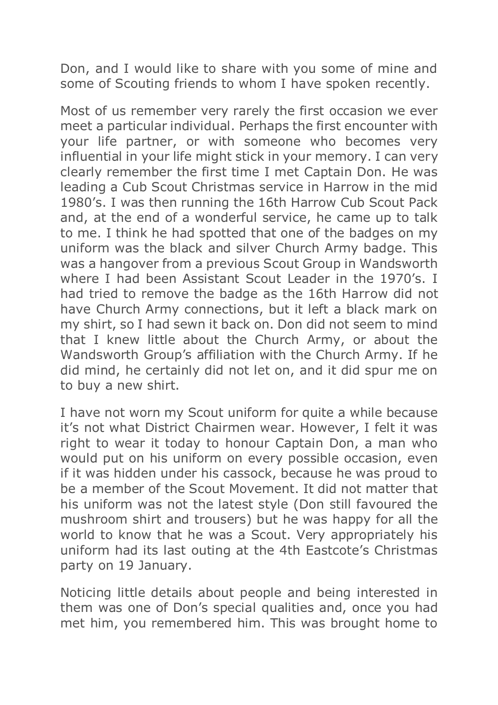Don, and I would like to share with you some of mine and some of Scouting friends to whom I have spoken recently.

Most of us remember very rarely the first occasion we ever meet a particular individual. Perhaps the first encounter with your life partner, or with someone who becomes very influential in your life might stick in your memory. I can very clearly remember the first time I met Captain Don. He was leading a Cub Scout Christmas service in Harrow in the mid 1980's. I was then running the 16th Harrow Cub Scout Pack and, at the end of a wonderful service, he came up to talk to me. I think he had spotted that one of the badges on my uniform was the black and silver Church Army badge. This was a hangover from a previous Scout Group in Wandsworth where I had been Assistant Scout Leader in the 1970's. I had tried to remove the badge as the 16th Harrow did not have Church Army connections, but it left a black mark on my shirt, so I had sewn it back on. Don did not seem to mind that I knew little about the Church Army, or about the Wandsworth Group's affiliation with the Church Army. If he did mind, he certainly did not let on, and it did spur me on to buy a new shirt.

I have not worn my Scout uniform for quite a while because it's not what District Chairmen wear. However, I felt it was right to wear it today to honour Captain Don, a man who would put on his uniform on every possible occasion, even if it was hidden under his cassock, because he was proud to be a member of the Scout Movement. It did not matter that his uniform was not the latest style (Don still favoured the mushroom shirt and trousers) but he was happy for all the world to know that he was a Scout. Very appropriately his uniform had its last outing at the 4th Eastcote's Christmas party on 19 January.

Noticing little details about people and being interested in them was one of Don's special qualities and, once you had met him, you remembered him. This was brought home to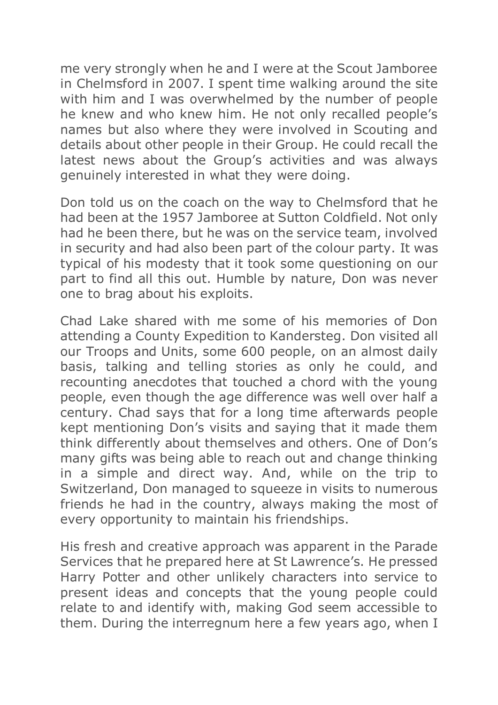me very strongly when he and I were at the Scout Jamboree in Chelmsford in 2007. I spent time walking around the site with him and I was overwhelmed by the number of people he knew and who knew him. He not only recalled people's names but also where they were involved in Scouting and details about other people in their Group. He could recall the latest news about the Group's activities and was always genuinely interested in what they were doing.

Don told us on the coach on the way to Chelmsford that he had been at the 1957 Jamboree at Sutton Coldfield. Not only had he been there, but he was on the service team, involved in security and had also been part of the colour party. It was typical of his modesty that it took some questioning on our part to find all this out. Humble by nature, Don was never one to brag about his exploits.

Chad Lake shared with me some of his memories of Don attending a County Expedition to Kandersteg. Don visited all our Troops and Units, some 600 people, on an almost daily basis, talking and telling stories as only he could, and recounting anecdotes that touched a chord with the young people, even though the age difference was well over half a century. Chad says that for a long time afterwards people kept mentioning Don's visits and saying that it made them think differently about themselves and others. One of Don's many gifts was being able to reach out and change thinking in a simple and direct way. And, while on the trip to Switzerland, Don managed to squeeze in visits to numerous friends he had in the country, always making the most of every opportunity to maintain his friendships.

His fresh and creative approach was apparent in the Parade Services that he prepared here at St Lawrence's. He pressed Harry Potter and other unlikely characters into service to present ideas and concepts that the young people could relate to and identify with, making God seem accessible to them. During the interregnum here a few years ago, when I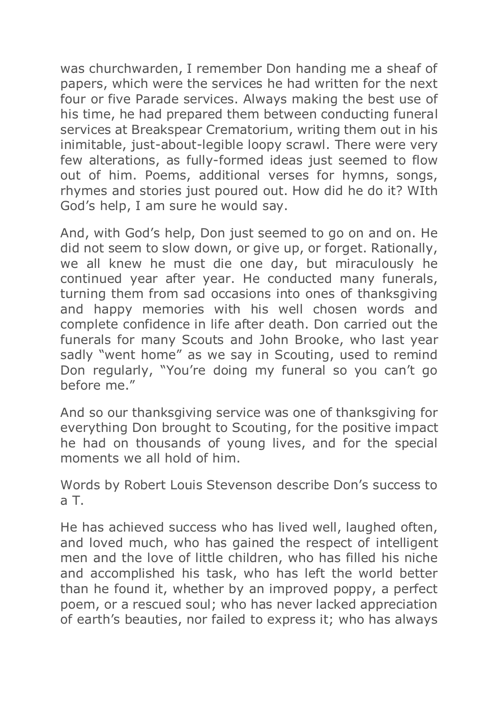was churchwarden, I remember Don handing me a sheaf of papers, which were the services he had written for the next four or five Parade services. Always making the best use of his time, he had prepared them between conducting funeral services at Breakspear Crematorium, writing them out in his inimitable, just-about-legible loopy scrawl. There were very few alterations, as fully-formed ideas just seemed to flow out of him. Poems, additional verses for hymns, songs, rhymes and stories just poured out. How did he do it? WIth God's help, I am sure he would say.

And, with God's help, Don just seemed to go on and on. He did not seem to slow down, or give up, or forget. Rationally, we all knew he must die one day, but miraculously he continued year after year. He conducted many funerals, turning them from sad occasions into ones of thanksgiving and happy memories with his well chosen words and complete confidence in life after death. Don carried out the funerals for many Scouts and John Brooke, who last year sadly "went home" as we say in Scouting, used to remind Don regularly, "You're doing my funeral so you can't go before me."

And so our thanksgiving service was one of thanksgiving for everything Don brought to Scouting, for the positive impact he had on thousands of young lives, and for the special moments we all hold of him.

Words by Robert Louis Stevenson describe Don's success to a T.

He has achieved success who has lived well, laughed often, and loved much, who has gained the respect of intelligent men and the love of little children, who has filled his niche and accomplished his task, who has left the world better than he found it, whether by an improved poppy, a perfect poem, or a rescued soul; who has never lacked appreciation of earth's beauties, nor failed to express it; who has always